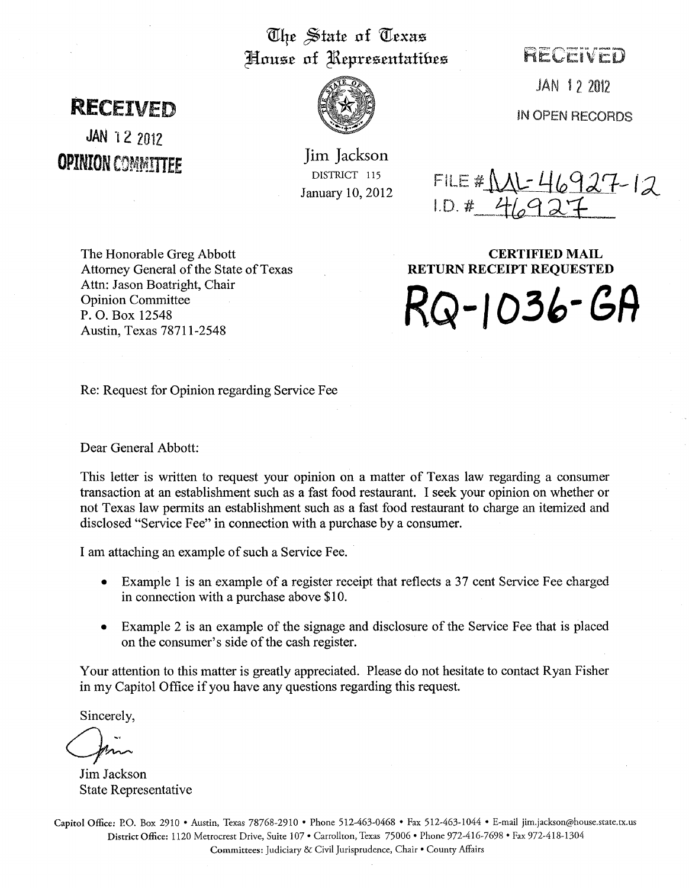## The State of Texas House of Representatifies FIECEIVED

## **RECETVED**

JAN 12 2012 **OPINION COMMITTEE** 



Jim Jackson DISTRICT 115 January 10, 2012

FILE #  $ML$ -46927-12  $1. D. # 46927$ 

JAN 12 2012

IN OPEN RECORDS

The Honorable Greg Abbott Attorney General of the State of Texas Attn: Jason Boatright, Chair Opinion Committee P. O. Box 12548 Austin, Texas 78711-2548

CERTIFIED MAIL RETURN RECEIPT REQUESTED

**RQ-I** *03"- GR* 

Re: Request for Opinion regarding Service Fee

Dear General Abbott:

This letter is written to request your opinion on a matter of Texas law regarding a consumer transaction at an establishment such as a fast food restaurant. I seek your opinion on whether or not Texas law permits an establishment such as a fast food restaurant to charge an itemized and disclosed "Service Fee" in connection with a purchase by a consumer.

I am attaching an example of such a Service Fee.

- Example 1 is an example of a register receipt that reflects a 37 cent Service Fee charged in connection with a purchase above \$10.
- Example 2 is an example of the signage and disclosure of the Service Fee that is placed on the consumer's side of the cash register.

Your attention to this matter is greatly appreciated. Please do not hesitate to contact Ryan Fisher in my Capitol Office if you have any questions regarding this request.

Sincerely,

(Join

Jim Jackson State Representative

Capitol Office: P.O. Box 2910 • Austin, Texas 78768-2910 • Phone 512-463-0468 • Fax 512-463-1044 • E-mail jim.jackson@house.state.tx.us District Office: 1120 Metrocrest Drive, Suite 107· Carrollton, Texas 75006· Phone 972-416-7698· Fax 972-418-1304 Committees: Judiciary & Civil Jurisprudence, Chair· County Affairs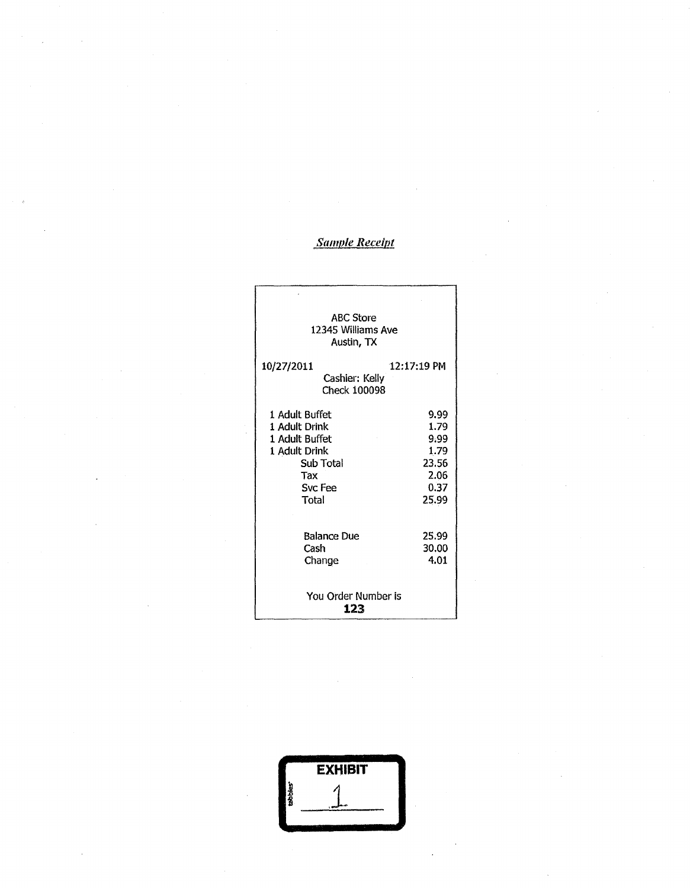## *§amu/e Receipt*

| <b>ABC Store</b><br>12345 Williams Ave<br>Austin, TX                                                       |                                                                |
|------------------------------------------------------------------------------------------------------------|----------------------------------------------------------------|
| 10/27/2011<br>Cashier: Kelly<br>Check 100098                                                               | $12:17:19$ PM                                                  |
| 1 Adult Buffet<br>1 Adult Drink<br>1 Adult Buffet<br>1 Adult Drink<br>Sub Total<br>Тах<br>Svc Fee<br>Total | 9.99<br>1.79<br>9.99<br>1.79<br>23.56<br>2.06<br>0.37<br>25.99 |
| <b>Balance Due</b><br>Cash<br>Change                                                                       | 25.99<br>30.00<br>4.01                                         |
| You Order Number is<br>123                                                                                 |                                                                |

|          | <b>EXHIBIT</b> |  |
|----------|----------------|--|
| tabbles" |                |  |
|          |                |  |